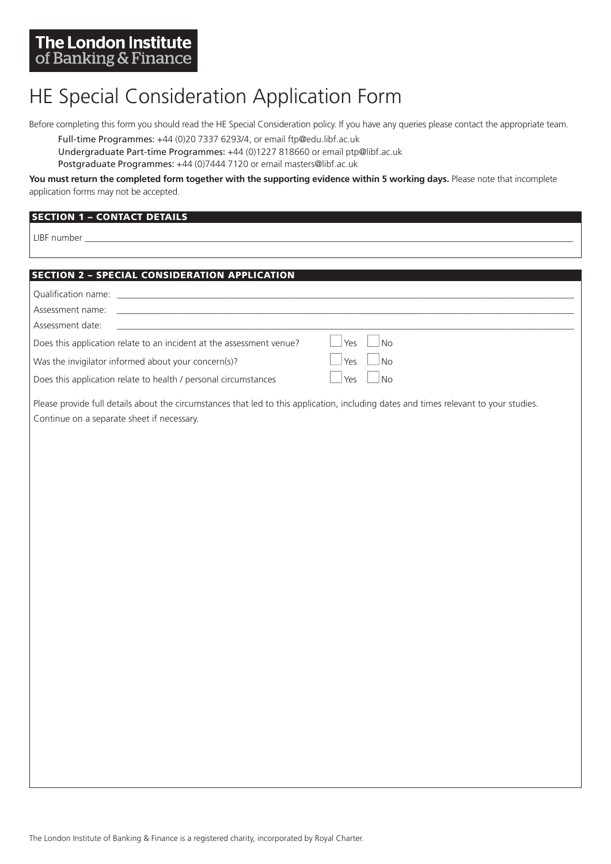# HE Special Consideration Application Form

Before completing this form you should read the HE Special Consideration policy. If you have any queries please contact the appropriate team.

Full-time Programmes: +44 (0)20 7337 6293/4, or email ftp@edu.libf.ac.uk

Undergraduate Part-time Programmes: +44 (0)1227 818660 or email ptp@libf.ac.uk

Postgraduate Programmes: +44 (0)7444 7120 or email masters@libf.ac.uk

You must return the completed form together with the supporting evidence within 5 working days. Please note that incomplete application forms may not be accepted.

# **YOUR DETAILS SECTION 1 – CONTACT DETAILS**

LIBF number \_\_\_\_\_\_\_\_\_\_\_\_\_\_\_\_\_\_\_\_\_\_\_\_\_\_\_\_\_\_\_\_\_\_\_\_\_\_\_\_\_\_\_\_\_\_\_\_\_\_\_\_\_\_\_\_\_\_\_\_\_\_\_\_\_\_\_\_\_\_\_\_\_\_\_\_\_\_\_\_\_\_\_\_\_\_\_\_\_\_\_\_\_\_\_\_\_\_\_\_\_\_\_\_\_\_\_\_\_\_\_\_\_\_\_\_\_\_\_\_\_\_\_\_\_\_\_\_\_\_\_\_

# **YOUR DETAILS SECTION 2 – SPECIAL CONSIDERATION APPLICATION**

| Qualification name: example a series of the series of the series of the series of the series of the series of the series of the series of the series of the series of the series of the series of the series of the series of |                         |
|-------------------------------------------------------------------------------------------------------------------------------------------------------------------------------------------------------------------------------|-------------------------|
| Assessment name:                                                                                                                                                                                                              |                         |
| Assessment date:                                                                                                                                                                                                              |                         |
| Does this application relate to an incident at the assessment venue?                                                                                                                                                          | l Yρς<br>N <sub>0</sub> |
| Was the invigilator informed about your concern(s)?                                                                                                                                                                           | Yes<br>No               |
| Does this application relate to health / personal circumstances                                                                                                                                                               | Yes<br>N <sub>0</sub>   |
|                                                                                                                                                                                                                               |                         |

Please provide full details about the circumstances that led to this application, including dates and times relevant to your studies. Continue on a separate sheet if necessary.